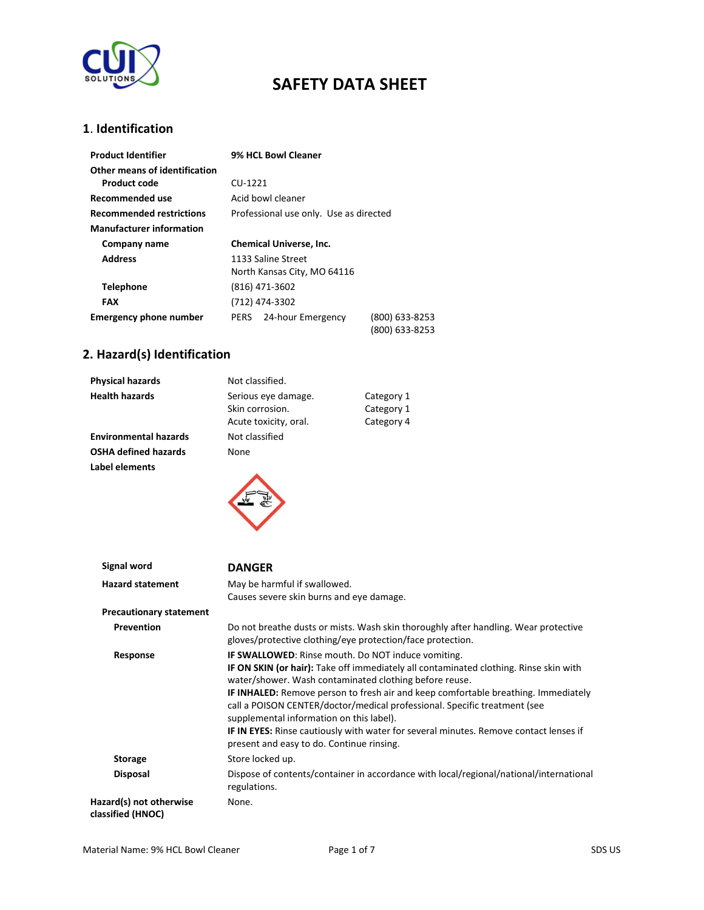

### **1**. **Identification**

| <b>Product Identifier</b>       | 9% HCL Bowl Cleaner                         |  |
|---------------------------------|---------------------------------------------|--|
| Other means of identification   |                                             |  |
| Product code                    | CU-1221                                     |  |
| Recommended use                 | Acid howl cleaner                           |  |
| <b>Recommended restrictions</b> | Professional use only. Use as directed      |  |
| <b>Manufacturer information</b> |                                             |  |
| Company name                    | <b>Chemical Universe, Inc.</b>              |  |
| <b>Address</b>                  | 1133 Saline Street                          |  |
|                                 | North Kansas City, MO 64116                 |  |
| Telephone                       | (816) 471-3602                              |  |
| <b>FAX</b>                      | (712) 474-3302                              |  |
| <b>Emergency phone number</b>   | 24-hour Emergency<br>(800) 633-8253<br>PERS |  |
|                                 | 800) 633-8253                               |  |

# **2. Hazard(s) Identification**

| <b>Physical hazards</b>      | Not classified.                                                 |                                        |
|------------------------------|-----------------------------------------------------------------|----------------------------------------|
| <b>Health hazards</b>        | Serious eye damage.<br>Skin corrosion.<br>Acute toxicity, oral. | Category 1<br>Category 1<br>Category 4 |
| <b>Environmental hazards</b> | Not classified                                                  |                                        |
| <b>OSHA defined hazards</b>  | None                                                            |                                        |
| Label elements               |                                                                 |                                        |

| Signal word                                  | <b>DANGER</b>                                                                                                                                                                                                                                                                                                                                                                                                                                                                                                                                                                   |
|----------------------------------------------|---------------------------------------------------------------------------------------------------------------------------------------------------------------------------------------------------------------------------------------------------------------------------------------------------------------------------------------------------------------------------------------------------------------------------------------------------------------------------------------------------------------------------------------------------------------------------------|
| <b>Hazard statement</b>                      | May be harmful if swallowed.<br>Causes severe skin burns and eye damage.                                                                                                                                                                                                                                                                                                                                                                                                                                                                                                        |
| <b>Precautionary statement</b>               |                                                                                                                                                                                                                                                                                                                                                                                                                                                                                                                                                                                 |
| Prevention                                   | Do not breathe dusts or mists. Wash skin thoroughly after handling. Wear protective<br>gloves/protective clothing/eye protection/face protection.                                                                                                                                                                                                                                                                                                                                                                                                                               |
| Response                                     | <b>IF SWALLOWED:</b> Rinse mouth. Do NOT induce vomiting.<br>IF ON SKIN (or hair): Take off immediately all contaminated clothing. Rinse skin with<br>water/shower. Wash contaminated clothing before reuse.<br><b>IF INHALED:</b> Remove person to fresh air and keep comfortable breathing. Immediately<br>call a POISON CENTER/doctor/medical professional. Specific treatment (see<br>supplemental information on this label).<br><b>IF IN EYES:</b> Rinse cautiously with water for several minutes. Remove contact lenses if<br>present and easy to do. Continue rinsing. |
| <b>Storage</b>                               | Store locked up.                                                                                                                                                                                                                                                                                                                                                                                                                                                                                                                                                                |
| <b>Disposal</b>                              | Dispose of contents/container in accordance with local/regional/national/international<br>regulations.                                                                                                                                                                                                                                                                                                                                                                                                                                                                          |
| Hazard(s) not otherwise<br>classified (HNOC) | None.                                                                                                                                                                                                                                                                                                                                                                                                                                                                                                                                                                           |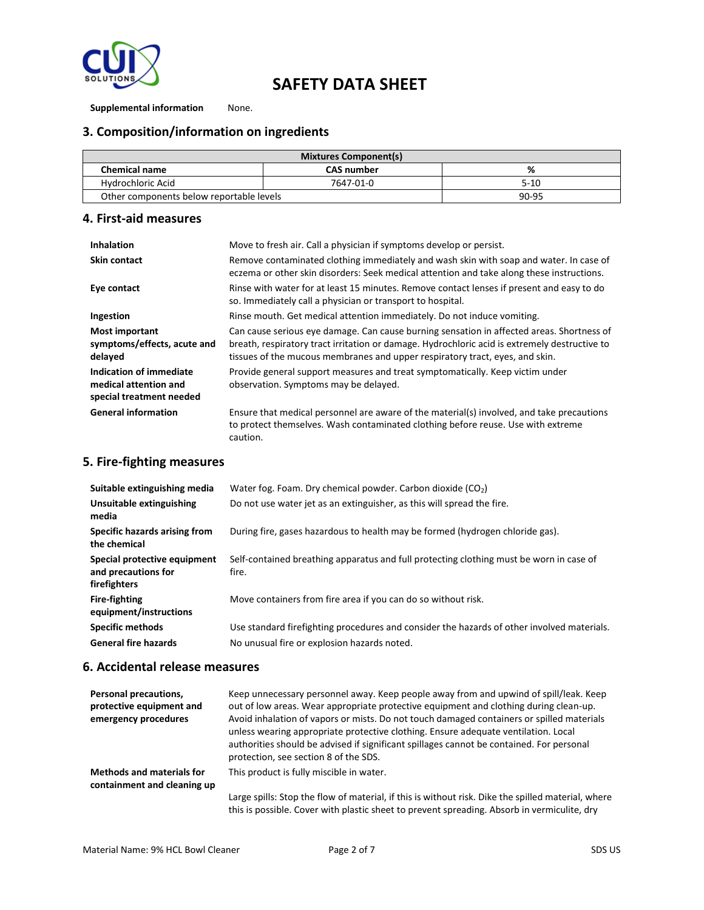

**Supplemental information** None.

### **3. Composition/information on ingredients**

| <b>Mixtures Component(s)</b>             |                   |           |
|------------------------------------------|-------------------|-----------|
| <b>Chemical name</b>                     | <b>CAS number</b> | %         |
| Hydrochloric Acid                        | 7647-01-0         | $5-10$    |
| Other components below reportable levels |                   | $90 - 95$ |

#### **4. First-aid measures**

| <b>Inhalation</b>                                                            | Move to fresh air. Call a physician if symptoms develop or persist.                                                                                                                                                                                                        |
|------------------------------------------------------------------------------|----------------------------------------------------------------------------------------------------------------------------------------------------------------------------------------------------------------------------------------------------------------------------|
| <b>Skin contact</b>                                                          | Remove contaminated clothing immediately and wash skin with soap and water. In case of<br>eczema or other skin disorders: Seek medical attention and take along these instructions.                                                                                        |
| Eye contact                                                                  | Rinse with water for at least 15 minutes. Remove contact lenses if present and easy to do<br>so. Immediately call a physician or transport to hospital.                                                                                                                    |
| Ingestion                                                                    | Rinse mouth. Get medical attention immediately. Do not induce vomiting.                                                                                                                                                                                                    |
| <b>Most important</b><br>symptoms/effects, acute and<br>delayed              | Can cause serious eye damage. Can cause burning sensation in affected areas. Shortness of<br>breath, respiratory tract irritation or damage. Hydrochloric acid is extremely destructive to<br>tissues of the mucous membranes and upper respiratory tract, eyes, and skin. |
| Indication of immediate<br>medical attention and<br>special treatment needed | Provide general support measures and treat symptomatically. Keep victim under<br>observation. Symptoms may be delayed.                                                                                                                                                     |
| <b>General information</b>                                                   | Ensure that medical personnel are aware of the material(s) involved, and take precautions<br>to protect themselves. Wash contaminated clothing before reuse. Use with extreme<br>caution.                                                                                  |

#### **5. Fire-fighting measures**

| Suitable extinguishing media                                        | Water fog. Foam. Dry chemical powder. Carbon dioxide $(CO2)$                                     |
|---------------------------------------------------------------------|--------------------------------------------------------------------------------------------------|
| Unsuitable extinguishing<br>media                                   | Do not use water jet as an extinguisher, as this will spread the fire.                           |
| Specific hazards arising from<br>the chemical                       | During fire, gases hazardous to health may be formed (hydrogen chloride gas).                    |
| Special protective equipment<br>and precautions for<br>firefighters | Self-contained breathing apparatus and full protecting clothing must be worn in case of<br>fire. |
| <b>Fire-fighting</b><br>equipment/instructions                      | Move containers from fire area if you can do so without risk.                                    |
| <b>Specific methods</b>                                             | Use standard firefighting procedures and consider the hazards of other involved materials.       |
| <b>General fire hazards</b>                                         | No unusual fire or explosion hazards noted.                                                      |

### **6. Accidental release measures**

| Personal precautions,<br>protective equipment and<br>emergency procedures | Keep unnecessary personnel away. Keep people away from and upwind of spill/leak. Keep<br>out of low areas. Wear appropriate protective equipment and clothing during clean-up.<br>Avoid inhalation of vapors or mists. Do not touch damaged containers or spilled materials<br>unless wearing appropriate protective clothing. Ensure adequate ventilation. Local<br>authorities should be advised if significant spillages cannot be contained. For personal<br>protection, see section 8 of the SDS. |
|---------------------------------------------------------------------------|--------------------------------------------------------------------------------------------------------------------------------------------------------------------------------------------------------------------------------------------------------------------------------------------------------------------------------------------------------------------------------------------------------------------------------------------------------------------------------------------------------|
| <b>Methods and materials for</b><br>containment and cleaning up           | This product is fully miscible in water.                                                                                                                                                                                                                                                                                                                                                                                                                                                               |
|                                                                           | Large spills: Stop the flow of material, if this is without risk. Dike the spilled material, where<br>this is possible. Cover with plastic sheet to prevent spreading. Absorb in vermiculite, dry                                                                                                                                                                                                                                                                                                      |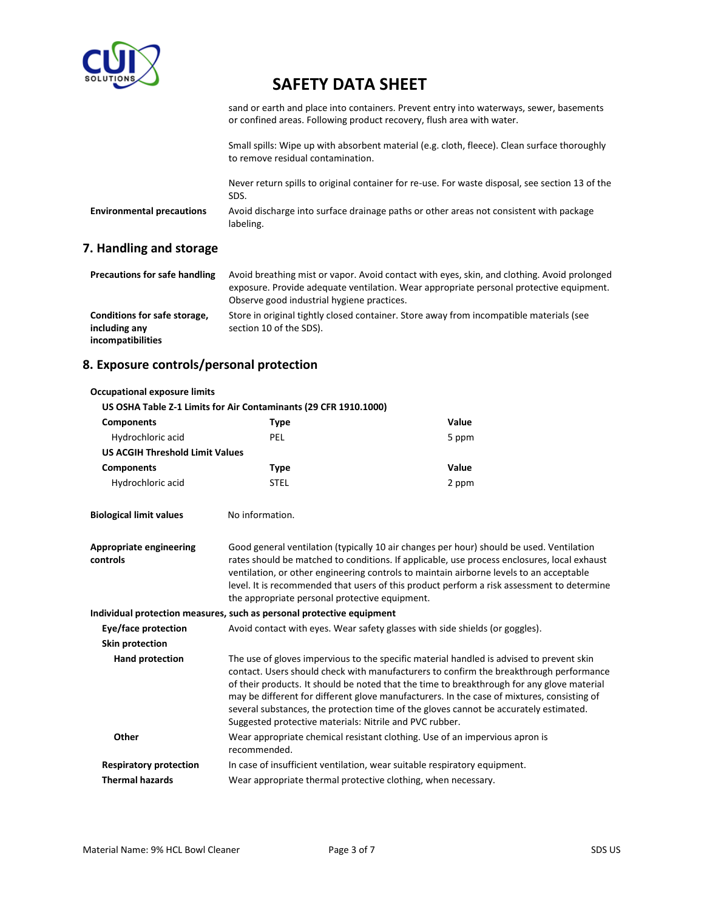

sand or earth and place into containers. Prevent entry into waterways, sewer, basements or confined areas. Following product recovery, flush area with water.

Small spills: Wipe up with absorbent material (e.g. cloth, fleece). Clean surface thoroughly to remove residual contamination.

Never return spills to original container for re-use. For waste disposal, see section 13 of the SDS.

**Environmental precautions** Avoid discharge into surface drainage paths or other areas not consistent with package labeling.

### **7. Handling and storage**

**Occupational exposure limits**

| <b>Precautions for safe handling</b>                               | Avoid breathing mist or vapor. Avoid contact with eyes, skin, and clothing. Avoid prolonged<br>exposure. Provide adequate ventilation. Wear appropriate personal protective equipment.<br>Observe good industrial hygiene practices. |
|--------------------------------------------------------------------|--------------------------------------------------------------------------------------------------------------------------------------------------------------------------------------------------------------------------------------|
| Conditions for safe storage,<br>including any<br>incompatibilities | Store in original tightly closed container. Store away from incompatible materials (see<br>section 10 of the SDS).                                                                                                                   |

### **8. Exposure controls/personal protection**

|                                        | US OSHA Table Z-1 Limits for Air Contaminants (29 CFR 1910.1000)                                                                                                                                                                                                                                                                                                                                                                                                                                                                   |                                                                              |
|----------------------------------------|------------------------------------------------------------------------------------------------------------------------------------------------------------------------------------------------------------------------------------------------------------------------------------------------------------------------------------------------------------------------------------------------------------------------------------------------------------------------------------------------------------------------------------|------------------------------------------------------------------------------|
| <b>Components</b>                      | <b>Type</b>                                                                                                                                                                                                                                                                                                                                                                                                                                                                                                                        | Value                                                                        |
| Hydrochloric acid                      | <b>PEL</b>                                                                                                                                                                                                                                                                                                                                                                                                                                                                                                                         | 5 ppm                                                                        |
| <b>US ACGIH Threshold Limit Values</b> |                                                                                                                                                                                                                                                                                                                                                                                                                                                                                                                                    |                                                                              |
| <b>Components</b>                      | <b>Type</b>                                                                                                                                                                                                                                                                                                                                                                                                                                                                                                                        | Value                                                                        |
| Hydrochloric acid                      | <b>STEL</b>                                                                                                                                                                                                                                                                                                                                                                                                                                                                                                                        | 2 ppm                                                                        |
| <b>Biological limit values</b>         | No information.                                                                                                                                                                                                                                                                                                                                                                                                                                                                                                                    |                                                                              |
| Appropriate engineering<br>controls    | Good general ventilation (typically 10 air changes per hour) should be used. Ventilation<br>rates should be matched to conditions. If applicable, use process enclosures, local exhaust<br>ventilation, or other engineering controls to maintain airborne levels to an acceptable<br>level. It is recommended that users of this product perform a risk assessment to determine<br>the appropriate personal protective equipment.                                                                                                 |                                                                              |
|                                        | Individual protection measures, such as personal protective equipment                                                                                                                                                                                                                                                                                                                                                                                                                                                              |                                                                              |
| Eye/face protection                    |                                                                                                                                                                                                                                                                                                                                                                                                                                                                                                                                    | Avoid contact with eyes. Wear safety glasses with side shields (or goggles). |
| Skin protection                        |                                                                                                                                                                                                                                                                                                                                                                                                                                                                                                                                    |                                                                              |
| <b>Hand protection</b>                 | The use of gloves impervious to the specific material handled is advised to prevent skin<br>contact. Users should check with manufacturers to confirm the breakthrough performance<br>of their products. It should be noted that the time to breakthrough for any glove material<br>may be different for different glove manufacturers. In the case of mixtures, consisting of<br>several substances, the protection time of the gloves cannot be accurately estimated.<br>Suggested protective materials: Nitrile and PVC rubber. |                                                                              |
| Other                                  | recommended.                                                                                                                                                                                                                                                                                                                                                                                                                                                                                                                       | Wear appropriate chemical resistant clothing. Use of an impervious apron is  |
| <b>Respiratory protection</b>          |                                                                                                                                                                                                                                                                                                                                                                                                                                                                                                                                    | In case of insufficient ventilation, wear suitable respiratory equipment.    |
| <b>Thermal hazards</b>                 | Wear appropriate thermal protective clothing, when necessary.                                                                                                                                                                                                                                                                                                                                                                                                                                                                      |                                                                              |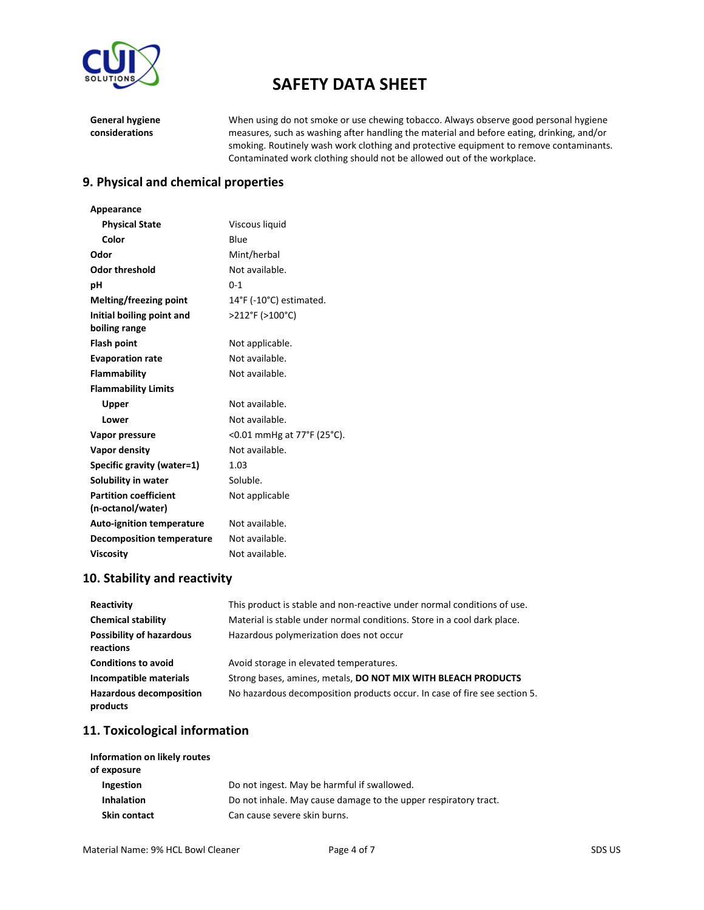

**General hygiene considerations**

When using do not smoke or use chewing tobacco. Always observe good personal hygiene measures, such as washing after handling the material and before eating, drinking, and/or smoking. Routinely wash work clothing and protective equipment to remove contaminants. Contaminated work clothing should not be allowed out of the workplace.

#### **9. Physical and chemical properties**

| Appearance                       |                                              |
|----------------------------------|----------------------------------------------|
| <b>Physical State</b>            | Viscous liquid                               |
| Color                            | Blue                                         |
| Odor                             | Mint/herbal                                  |
| <b>Odor threshold</b>            | Not available.                               |
| рH                               | $0 - 1$                                      |
| Melting/freezing point           | $14^{\circ}$ F (-10 $^{\circ}$ C) estimated. |
| Initial boiling point and        | >212°F (>100°C)                              |
| boiling range                    |                                              |
| <b>Flash point</b>               | Not applicable.                              |
| <b>Evaporation rate</b>          | Not available.                               |
| Flammability                     | Not available.                               |
| <b>Flammability Limits</b>       |                                              |
| Upper                            | Not available.                               |
| Lower                            | Not available.                               |
| Vapor pressure                   | <0.01 mmHg at 77°F (25°C).                   |
| Vapor density                    | Not available.                               |
| Specific gravity (water=1)       | 1.03                                         |
| Solubility in water              | Soluble.                                     |
| <b>Partition coefficient</b>     | Not applicable                               |
| (n-octanol/water)                |                                              |
| <b>Auto-ignition temperature</b> | Not available.                               |
| <b>Decomposition temperature</b> | Not available.                               |
| <b>Viscosity</b>                 | Not available.                               |

### **10. Stability and reactivity**

| Reactivity                                   | This product is stable and non-reactive under normal conditions of use.   |
|----------------------------------------------|---------------------------------------------------------------------------|
| <b>Chemical stability</b>                    | Material is stable under normal conditions. Store in a cool dark place.   |
| <b>Possibility of hazardous</b><br>reactions | Hazardous polymerization does not occur                                   |
| <b>Conditions to avoid</b>                   | Avoid storage in elevated temperatures.                                   |
| Incompatible materials                       | Strong bases, amines, metals, DO NOT MIX WITH BLEACH PRODUCTS             |
| <b>Hazardous decomposition</b><br>products   | No hazardous decomposition products occur. In case of fire see section 5. |

## **11. Toxicological information**

| Information on likely routes<br>of exposure |                                                                 |
|---------------------------------------------|-----------------------------------------------------------------|
| Ingestion                                   | Do not ingest. May be harmful if swallowed.                     |
| <b>Inhalation</b>                           | Do not inhale. May cause damage to the upper respiratory tract. |
| <b>Skin contact</b>                         | Can cause severe skin burns.                                    |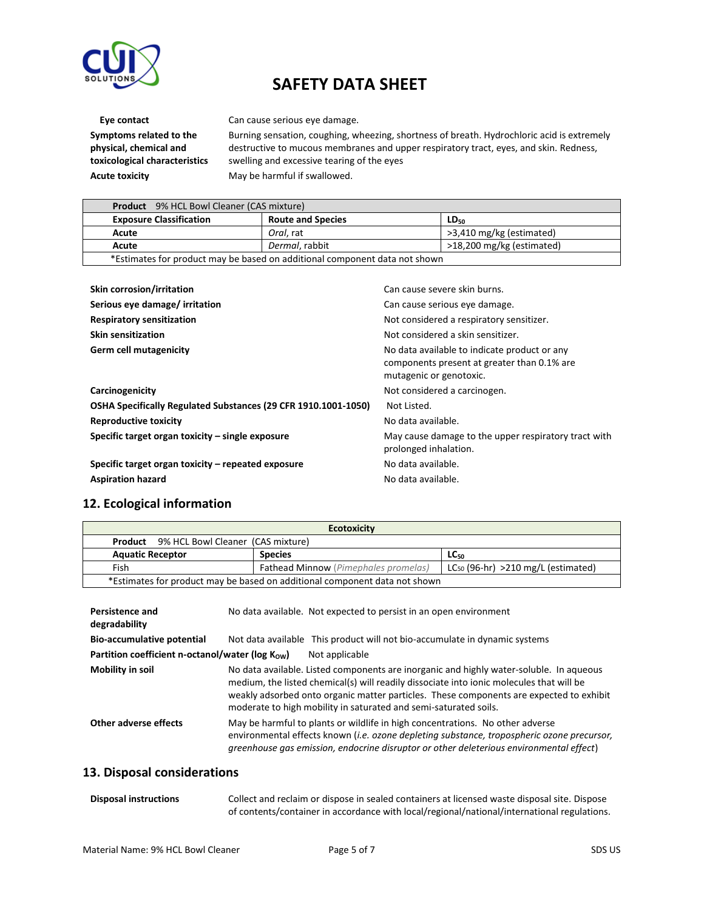

**Symptoms related to the physical, chemical and toxicological characteristics** Acute toxicity **May be harmful if swallowed.** 

**Eye contact** Can cause serious eye damage.

Burning sensation, coughing, wheezing, shortness of breath. Hydrochloric acid is extremely destructive to mucous membranes and upper respiratory tract, eyes, and skin. Redness, swelling and excessive tearing of the eyes

| <b>Product</b> 9% HCL Bowl Cleaner (CAS mixture)                           |                          |                           |
|----------------------------------------------------------------------------|--------------------------|---------------------------|
| <b>Exposure Classification</b>                                             | <b>Route and Species</b> | $LD_{50}$                 |
| Acute                                                                      | Oral. rat                | >3,410 mg/kg (estimated)  |
| Acute                                                                      | Dermal, rabbit           | >18,200 mg/kg (estimated) |
| *Estimates for product may be based on additional component data not shown |                          |                           |

| Skin corrosion/irritation                                      | Can cause severe skin burns.                                                                                           |
|----------------------------------------------------------------|------------------------------------------------------------------------------------------------------------------------|
| Serious eye damage/ irritation                                 | Can cause serious eye damage.                                                                                          |
| <b>Respiratory sensitization</b>                               | Not considered a respiratory sensitizer.                                                                               |
| <b>Skin sensitization</b>                                      | Not considered a skin sensitizer.                                                                                      |
| <b>Germ cell mutagenicity</b>                                  | No data available to indicate product or any<br>components present at greater than 0.1% are<br>mutagenic or genotoxic. |
| Carcinogenicity                                                | Not considered a carcinogen.                                                                                           |
| OSHA Specifically Regulated Substances (29 CFR 1910.1001-1050) | Not Listed.                                                                                                            |
| <b>Reproductive toxicity</b>                                   | No data available.                                                                                                     |
| Specific target organ toxicity – single exposure               | May cause damage to the upper respiratory tract with<br>prolonged inhalation.                                          |
| Specific target organ toxicity – repeated exposure             | No data available.                                                                                                     |
| <b>Aspiration hazard</b>                                       | No data available.                                                                                                     |

#### **12. Ecological information**

| <b>Ecotoxicity</b>                                                                             |                |                  |
|------------------------------------------------------------------------------------------------|----------------|------------------|
| 9% HCL Bowl Cleaner (CAS mixture)<br>Product                                                   |                |                  |
| <b>Aquatic Receptor</b>                                                                        | <b>Species</b> | LC <sub>50</sub> |
| $LC_{50}$ (96-hr) >210 mg/L (estimated)<br><b>Fathead Minnow</b> (Pimephales promelas)<br>Fish |                |                  |
| *Estimates for product may be based on additional component data not shown                     |                |                  |

| <b>Persistence and</b><br>degradability         | No data available. Not expected to persist in an open environment                                                                                                                                                                                                                                                                                  |
|-------------------------------------------------|----------------------------------------------------------------------------------------------------------------------------------------------------------------------------------------------------------------------------------------------------------------------------------------------------------------------------------------------------|
| <b>Bio-accumulative potential</b>               | Not data available This product will not bio-accumulate in dynamic systems                                                                                                                                                                                                                                                                         |
| Partition coefficient n-octanol/water (log Kow) | Not applicable                                                                                                                                                                                                                                                                                                                                     |
| Mobility in soil                                | No data available. Listed components are inorganic and highly water-soluble. In aqueous<br>medium, the listed chemical(s) will readily dissociate into ionic molecules that will be<br>weakly adsorbed onto organic matter particles. These components are expected to exhibit<br>moderate to high mobility in saturated and semi-saturated soils. |
| Other adverse effects                           | May be harmful to plants or wildlife in high concentrations. No other adverse<br>environmental effects known (i.e. ozone depleting substance, tropospheric ozone precursor,<br>greenhouse gas emission, endocrine disruptor or other deleterious environmental effect)                                                                             |

#### **13. Disposal considerations**

| Disposal instructions | Collect and reclaim or dispose in sealed containers at licensed waste disposal site. Dispose |
|-----------------------|----------------------------------------------------------------------------------------------|
|                       | of contents/container in accordance with local/regional/national/international regulations.  |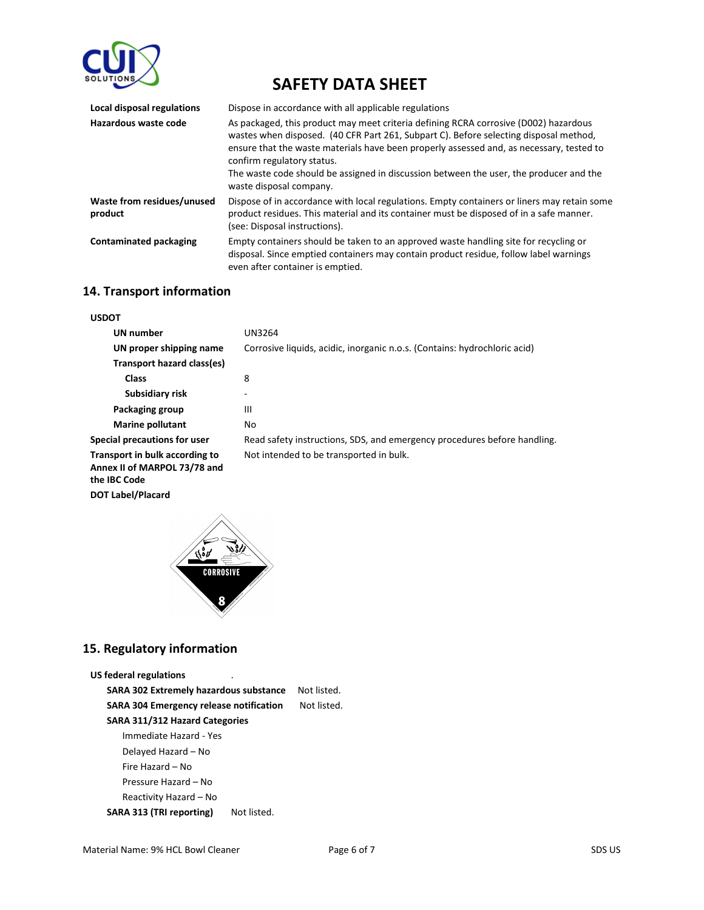

| Local disposal regulations            | Dispose in accordance with all applicable regulations                                                                                                                                                                                                                                                                                                                                                                        |
|---------------------------------------|------------------------------------------------------------------------------------------------------------------------------------------------------------------------------------------------------------------------------------------------------------------------------------------------------------------------------------------------------------------------------------------------------------------------------|
| Hazardous waste code                  | As packaged, this product may meet criteria defining RCRA corrosive (D002) hazardous<br>wastes when disposed. (40 CFR Part 261, Subpart C). Before selecting disposal method,<br>ensure that the waste materials have been properly assessed and, as necessary, tested to<br>confirm regulatory status.<br>The waste code should be assigned in discussion between the user, the producer and the<br>waste disposal company. |
| Waste from residues/unused<br>product | Dispose of in accordance with local regulations. Empty containers or liners may retain some<br>product residues. This material and its container must be disposed of in a safe manner.<br>(see: Disposal instructions).                                                                                                                                                                                                      |
| <b>Contaminated packaging</b>         | Empty containers should be taken to an approved waste handling site for recycling or<br>disposal. Since emptied containers may contain product residue, follow label warnings<br>even after container is emptied.                                                                                                                                                                                                            |

#### **14. Transport information**

| <b>USDOT</b>                                                                   |                                                                           |
|--------------------------------------------------------------------------------|---------------------------------------------------------------------------|
| UN number                                                                      | UN3264                                                                    |
| UN proper shipping name                                                        | Corrosive liquids, acidic, inorganic n.o.s. (Contains: hydrochloric acid) |
| Transport hazard class(es)                                                     |                                                                           |
| <b>Class</b>                                                                   | 8                                                                         |
| Subsidiary risk                                                                | ۰                                                                         |
| Packaging group                                                                | Ш                                                                         |
| <b>Marine pollutant</b>                                                        | No                                                                        |
| Special precautions for user                                                   | Read safety instructions, SDS, and emergency procedures before handling.  |
| Transport in bulk according to<br>Annex II of MARPOL 73/78 and<br>the IBC Code | Not intended to be transported in bulk.                                   |

**DOT Label/Placard**



### **15. Regulatory information**

```
US federal regulations
```
**SARA 302 Extremely hazardous substance** Not listed. **SARA 304 Emergency release notification** Not listed. **SARA 311/312 Hazard Categories** Immediate Hazard - Yes Delayed Hazard – No Fire Hazard – No Pressure Hazard – No Reactivity Hazard – No **SARA 313 (TRI reporting)** Not listed.